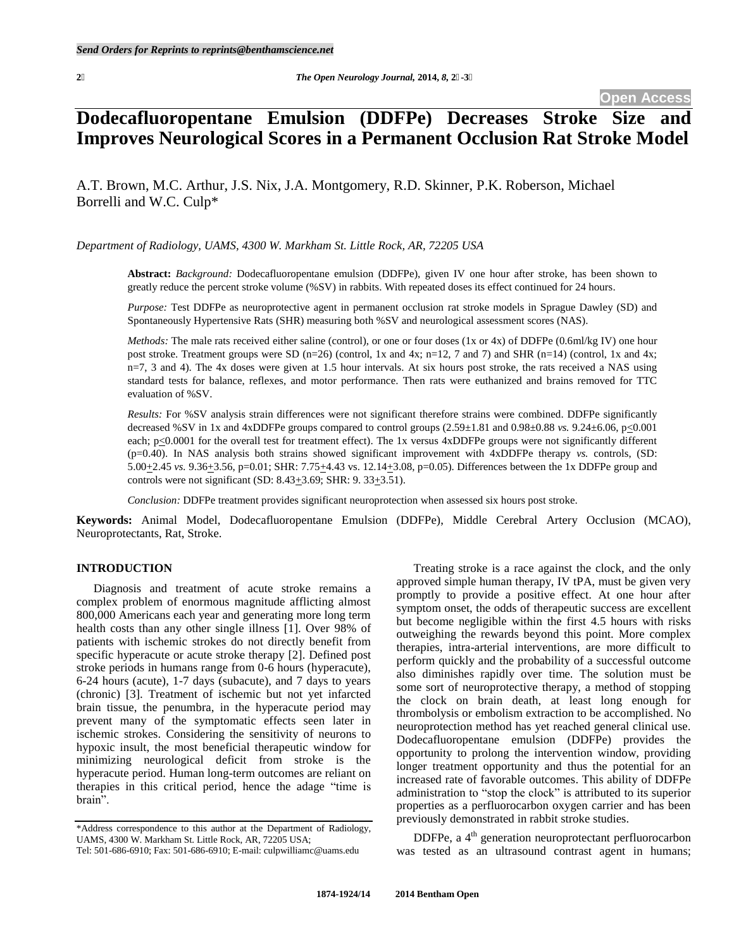# **Dodecafluoropentane Emulsion (DDFPe) Decreases Stroke Size and Improves Neurological Scores in a Permanent Occlusion Rat Stroke Model**

A.T. Brown, M.C. Arthur, J.S. Nix, J.A. Montgomery, R.D. Skinner, P.K. Roberson, Michael Borrelli and W.C. Culp\*

*Department of Radiology, UAMS, 4300 W. Markham St. Little Rock, AR, 72205 USA* 

**Abstract:** *Background:* Dodecafluoropentane emulsion (DDFPe), given IV one hour after stroke, has been shown to greatly reduce the percent stroke volume (%SV) in rabbits. With repeated doses its effect continued for 24 hours.

*Purpose:* Test DDFPe as neuroprotective agent in permanent occlusion rat stroke models in Sprague Dawley (SD) and Spontaneously Hypertensive Rats (SHR) measuring both %SV and neurological assessment scores (NAS).

*Methods:* The male rats received either saline (control), or one or four doses (1x or 4x) of DDFPe (0.6ml/kg IV) one hour post stroke. Treatment groups were SD (n=26) (control, 1x and 4x; n=12, 7 and 7) and SHR (n=14) (control, 1x and 4x; n=7, 3 and 4). The 4x doses were given at 1.5 hour intervals. At six hours post stroke, the rats received a NAS using standard tests for balance, reflexes, and motor performance. Then rats were euthanized and brains removed for TTC evaluation of %SV.

*Results:* For %SV analysis strain differences were not significant therefore strains were combined. DDFPe significantly decreased %SV in 1x and 4xDDFPe groups compared to control groups (2.59±1.81 and 0.98±0.88 *vs.* 9.24±6.06, p<0.001 each;  $p \le 0.0001$  for the overall test for treatment effect). The 1x versus 4xDDFPe groups were not significantly different (p=0.40). In NAS analysis both strains showed significant improvement with 4xDDFPe therapy *vs.* controls, (SD: 5.00+2.45 *vs.* 9.36+3.56, p=0.01; SHR: 7.75+4.43 vs. 12.14+3.08, p=0.05). Differences between the 1x DDFPe group and controls were not significant (SD:  $8.43 \pm 3.69$ ; SHR:  $9.33 \pm 3.51$ ).

*Conclusion:* DDFPe treatment provides significant neuroprotection when assessed six hours post stroke.

**Keywords:** Animal Model, Dodecafluoropentane Emulsion (DDFPe), Middle Cerebral Artery Occlusion (MCAO), Neuroprotectants, Rat, Stroke.

#### **INTRODUCTION**

 Diagnosis and treatment of acute stroke remains a complex problem of enormous magnitude afflicting almost 800,000 Americans each year and generating more long term health costs than any other single illness [1]. Over 98% of patients with ischemic strokes do not directly benefit from specific hyperacute or acute stroke therapy [2]. Defined post stroke periods in humans range from 0-6 hours (hyperacute), 6-24 hours (acute), 1-7 days (subacute), and 7 days to years (chronic) [3]. Treatment of ischemic but not yet infarcted brain tissue, the penumbra, in the hyperacute period may prevent many of the symptomatic effects seen later in ischemic strokes. Considering the sensitivity of neurons to hypoxic insult, the most beneficial therapeutic window for minimizing neurological deficit from stroke is the hyperacute period. Human long-term outcomes are reliant on therapies in this critical period, hence the adage "time is brain".

 Treating stroke is a race against the clock, and the only approved simple human therapy, IV tPA, must be given very promptly to provide a positive effect. At one hour after symptom onset, the odds of therapeutic success are excellent but become negligible within the first 4.5 hours with risks outweighing the rewards beyond this point. More complex therapies, intra-arterial interventions, are more difficult to perform quickly and the probability of a successful outcome also diminishes rapidly over time. The solution must be some sort of neuroprotective therapy, a method of stopping the clock on brain death, at least long enough for thrombolysis or embolism extraction to be accomplished. No neuroprotection method has yet reached general clinical use. Dodecafluoropentane emulsion (DDFPe) provides the opportunity to prolong the intervention window, providing longer treatment opportunity and thus the potential for an increased rate of favorable outcomes. This ability of DDFPe administration to "stop the clock" is attributed to its superior properties as a perfluorocarbon oxygen carrier and has been previously demonstrated in rabbit stroke studies.

DDFPe, a 4<sup>th</sup> generation neuroprotectant perfluorocarbon was tested as an ultrasound contrast agent in humans;

<sup>\*</sup>Address correspondence to this author at the Department of Radiology, UAMS, 4300 W. Markham St. Little Rock, AR, 72205 USA;

Tel: 501-686-6910; Fax: 501-686-6910; E-mail: culpwilliamc@uams.edu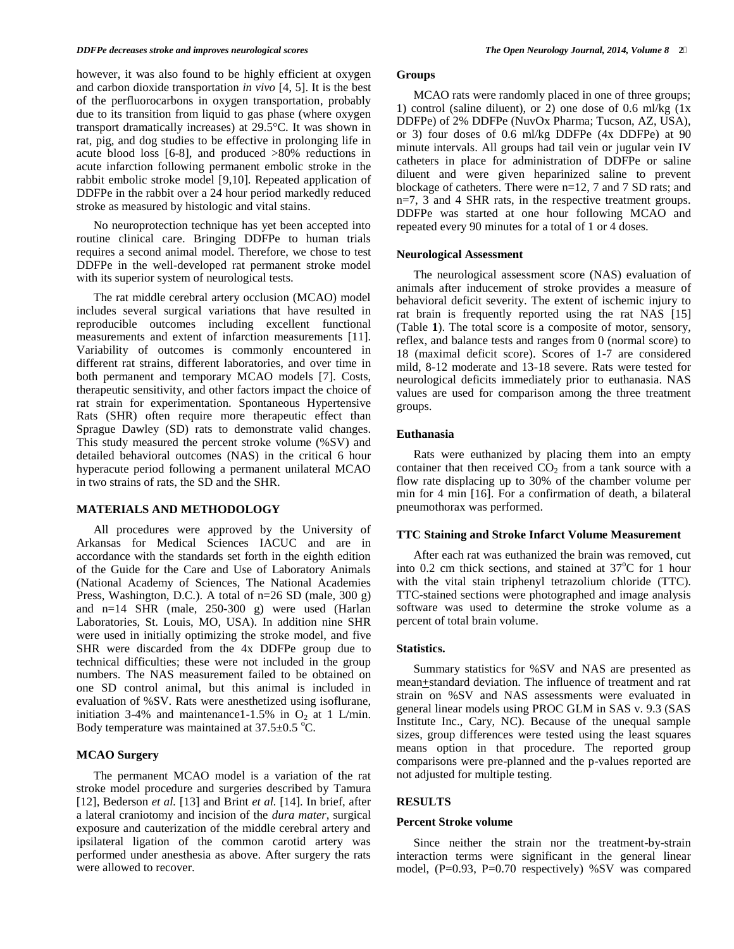however, it was also found to be highly efficient at oxygen and carbon dioxide transportation *in vivo* [4, 5]. It is the best of the perfluorocarbons in oxygen transportation, probably due to its transition from liquid to gas phase (where oxygen transport dramatically increases) at 29.5°C. It was shown in rat, pig, and dog studies to be effective in prolonging life in acute blood loss [6-8], and produced >80% reductions in acute infarction following permanent embolic stroke in the rabbit embolic stroke model [9,10]. Repeated application of DDFPe in the rabbit over a 24 hour period markedly reduced stroke as measured by histologic and vital stains.

 No neuroprotection technique has yet been accepted into routine clinical care. Bringing DDFPe to human trials requires a second animal model. Therefore, we chose to test DDFPe in the well-developed rat permanent stroke model with its superior system of neurological tests.

 The rat middle cerebral artery occlusion (MCAO) model includes several surgical variations that have resulted in reproducible outcomes including excellent functional measurements and extent of infarction measurements [11]. Variability of outcomes is commonly encountered in different rat strains, different laboratories, and over time in both permanent and temporary MCAO models [7]. Costs, therapeutic sensitivity, and other factors impact the choice of rat strain for experimentation. Spontaneous Hypertensive Rats (SHR) often require more therapeutic effect than Sprague Dawley (SD) rats to demonstrate valid changes. This study measured the percent stroke volume (%SV) and detailed behavioral outcomes (NAS) in the critical 6 hour hyperacute period following a permanent unilateral MCAO in two strains of rats, the SD and the SHR.

#### **MATERIALS AND METHODOLOGY**

 All procedures were approved by the University of Arkansas for Medical Sciences IACUC and are in accordance with the standards set forth in the eighth edition of the Guide for the Care and Use of Laboratory Animals (National Academy of Sciences, The National Academies Press, Washington, D.C.). A total of n=26 SD (male, 300 g) and n=14 SHR (male, 250-300 g) were used (Harlan Laboratories, St. Louis, MO, USA). In addition nine SHR were used in initially optimizing the stroke model, and five SHR were discarded from the 4x DDFPe group due to technical difficulties; these were not included in the group numbers. The NAS measurement failed to be obtained on one SD control animal, but this animal is included in evaluation of %SV. Rats were anesthetized using isoflurane, initiation 3-4% and maintenance1-1.5% in  $O_2$  at 1 L/min. Body temperature was maintained at  $37.5\pm0.5$  °C.

#### **MCAO Surgery**

The permanent MCAO model is a variation of the rat stroke model procedure and surgeries described by Tamura [12], Bederson *et al.* [13] and Brint *et al.* [14]. In brief, after a lateral craniotomy and incision of the *dura mater*, surgical exposure and cauterization of the middle cerebral artery and ipsilateral ligation of the common carotid artery was performed under anesthesia as above. After surgery the rats were allowed to recover.

## **Groups**

 MCAO rats were randomly placed in one of three groups; 1) control (saline diluent), or 2) one dose of 0.6 ml/kg  $(1x)$ DDFPe) of 2% DDFPe (NuvOx Pharma; Tucson, AZ, USA), or 3) four doses of 0.6 ml/kg DDFPe (4x DDFPe) at 90 minute intervals. All groups had tail vein or jugular vein IV catheters in place for administration of DDFPe or saline diluent and were given heparinized saline to prevent blockage of catheters. There were n=12, 7 and 7 SD rats; and n=7, 3 and 4 SHR rats, in the respective treatment groups. DDFPe was started at one hour following MCAO and repeated every 90 minutes for a total of 1 or 4 doses.

## **Neurological Assessment**

 The neurological assessment score (NAS) evaluation of animals after inducement of stroke provides a measure of behavioral deficit severity. The extent of ischemic injury to rat brain is frequently reported using the rat NAS [15] (Table **1**). The total score is a composite of motor, sensory, reflex, and balance tests and ranges from 0 (normal score) to 18 (maximal deficit score). Scores of 1-7 are considered mild, 8-12 moderate and 13-18 severe. Rats were tested for neurological deficits immediately prior to euthanasia. NAS values are used for comparison among the three treatment groups.

## **Euthanasia**

Rats were euthanized by placing them into an empty container that then received  $CO<sub>2</sub>$  from a tank source with a flow rate displacing up to 30% of the chamber volume per min for 4 min [16]. For a confirmation of death, a bilateral pneumothorax was performed.

#### **TTC Staining and Stroke Infarct Volume Measurement**

 After each rat was euthanized the brain was removed, cut into 0.2 cm thick sections, and stained at  $37^{\circ}$ C for 1 hour with the vital stain triphenyl tetrazolium chloride (TTC). TTC-stained sections were photographed and image analysis software was used to determine the stroke volume as a percent of total brain volume.

#### **Statistics.**

 Summary statistics for %SV and NAS are presented as mean+standard deviation. The influence of treatment and rat strain on %SV and NAS assessments were evaluated in general linear models using PROC GLM in SAS v. 9.3 (SAS Institute Inc., Cary, NC). Because of the unequal sample sizes, group differences were tested using the least squares means option in that procedure. The reported group comparisons were pre-planned and the p-values reported are not adjusted for multiple testing.

#### **RESULTS**

#### **Percent Stroke volume**

Since neither the strain nor the treatment-by-strain interaction terms were significant in the general linear model, (P=0.93, P=0.70 respectively) %SV was compared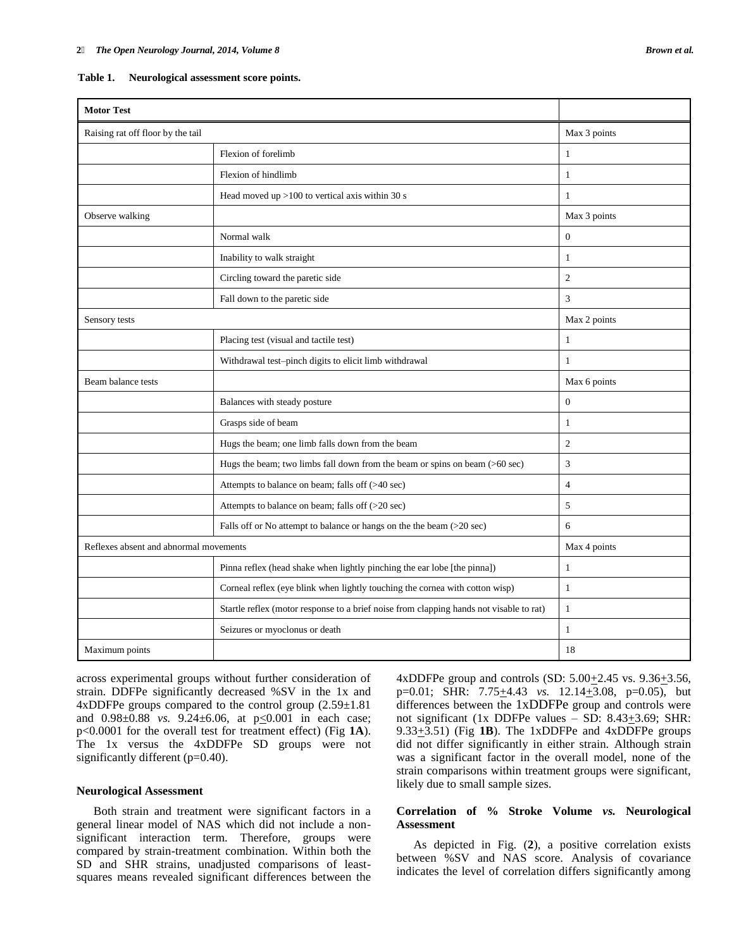| <b>Motor Test</b>                      |                                                                                         |                |
|----------------------------------------|-----------------------------------------------------------------------------------------|----------------|
| Raising rat off floor by the tail      |                                                                                         | Max 3 points   |
|                                        | Flexion of forelimb                                                                     | $\mathbf{1}$   |
|                                        | Flexion of hindlimb                                                                     | $\mathbf{1}$   |
|                                        | Head moved up $>100$ to vertical axis within 30 s                                       | $\mathbf{1}$   |
| Observe walking                        |                                                                                         | Max 3 points   |
|                                        | Normal walk                                                                             | $\Omega$       |
|                                        | Inability to walk straight                                                              | $\mathbf{1}$   |
|                                        | Circling toward the paretic side                                                        | $\overline{2}$ |
|                                        | Fall down to the paretic side                                                           | 3              |
| Sensory tests                          |                                                                                         | Max 2 points   |
|                                        | Placing test (visual and tactile test)                                                  | $\mathbf{1}$   |
|                                        | Withdrawal test-pinch digits to elicit limb withdrawal                                  | $\mathbf{1}$   |
| Beam balance tests                     |                                                                                         | Max 6 points   |
|                                        | Balances with steady posture                                                            | $\overline{0}$ |
|                                        | Grasps side of beam                                                                     | $\mathbf{1}$   |
|                                        | Hugs the beam; one limb falls down from the beam                                        | $\overline{2}$ |
|                                        | Hugs the beam; two limbs fall down from the beam or spins on beam $($ >60 sec $)$       | 3              |
|                                        | Attempts to balance on beam; falls off (>40 sec)                                        | $\overline{4}$ |
|                                        | Attempts to balance on beam; falls off (>20 sec)                                        | 5              |
|                                        | Falls off or No attempt to balance or hangs on the the beam (>20 sec)                   | 6              |
| Reflexes absent and abnormal movements |                                                                                         | Max 4 points   |
|                                        | Pinna reflex (head shake when lightly pinching the ear lobe [the pinna])                | $\mathbf{1}$   |
|                                        | Corneal reflex (eye blink when lightly touching the cornea with cotton wisp)            | $\mathbf{1}$   |
|                                        | Startle reflex (motor response to a brief noise from clapping hands not visable to rat) | $\mathbf{1}$   |
|                                        | Seizures or myoclonus or death                                                          | $\mathbf{1}$   |
| Maximum points                         |                                                                                         | 18             |

| Table 1. | Neurological assessment score points. |  |  |  |
|----------|---------------------------------------|--|--|--|
|----------|---------------------------------------|--|--|--|

across experimental groups without further consideration of strain. DDFPe significantly decreased %SV in the 1x and 4xDDFPe groups compared to the control group  $(2.59\pm1.81)$ and 0.98±0.88 *vs.* 9.24±6.06, at p<0.001 in each case; p<0.0001 for the overall test for treatment effect) (Fig **1A**). The 1x versus the 4xDDFPe SD groups were not significantly different (p=0.40).

#### **Neurological Assessment**

 Both strain and treatment were significant factors in a general linear model of NAS which did not include a nonsignificant interaction term. Therefore, groups were compared by strain-treatment combination. Within both the SD and SHR strains, unadjusted comparisons of leastsquares means revealed significant differences between the 4xDDFPe group and controls (SD:  $5.00 \pm 2.45$  vs.  $9.36 \pm 3.56$ , p=0.01; SHR: 7.75<sup>+4</sup>4.43 *vs.* 12.14<sup>+</sup>3.08, p=0.05), but differences between the 1xDDFPe group and controls were not significant (1x DDFPe values – SD:  $8.43\pm3.69$ ; SHR: 9.33+3.51) (Fig **1B**). The 1xDDFPe and 4xDDFPe groups did not differ significantly in either strain. Although strain was a significant factor in the overall model, none of the strain comparisons within treatment groups were significant, likely due to small sample sizes.

### **Correlation of % Stroke Volume** *vs.* **Neurological Assessment**

 As depicted in Fig. (**2**), a positive correlation exists between %SV and NAS score. Analysis of covariance indicates the level of correlation differs significantly among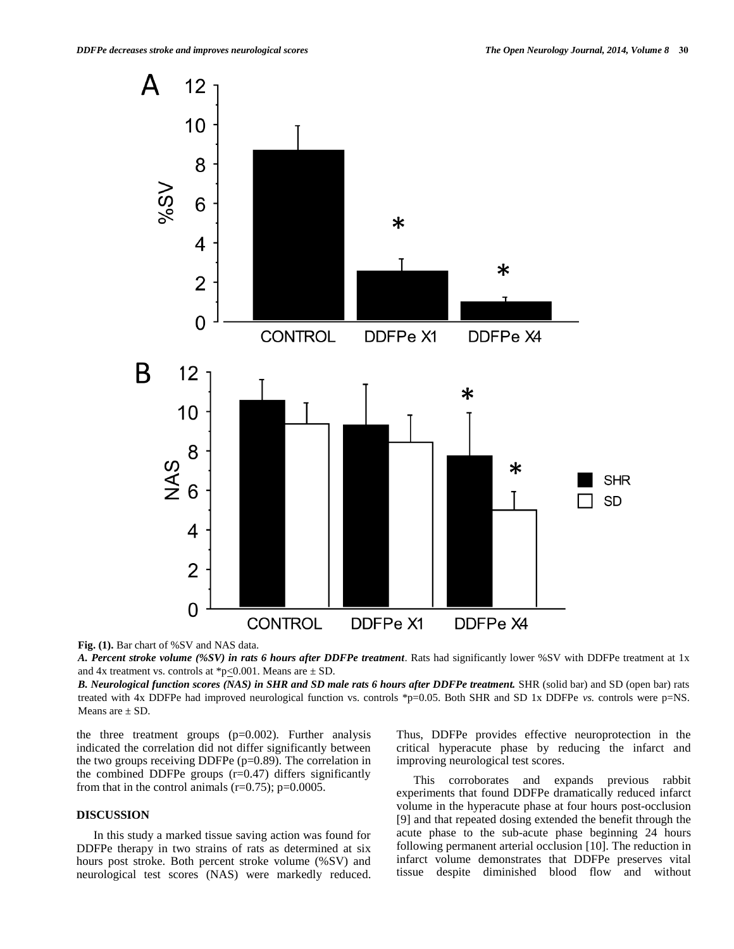

**Fig. (1).** Bar chart of %SV and NAS data.

*A. Percent stroke volume (%SV) in rats 6 hours after DDFPe treatment*. Rats had significantly lower %SV with DDFPe treatment at 1x and 4x treatment vs. controls at \*p $\leq$ 0.001. Means are  $\pm$  SD.

*B. Neurological function scores (NAS) in SHR and SD male rats 6 hours after DDFPe treatment.* SHR (solid bar) and SD (open bar) rats treated with 4x DDFPe had improved neurological function vs. controls \*p=0.05. Both SHR and SD 1x DDFPe *vs.* controls were p=NS. Means are  $\pm$  SD.

the three treatment groups (p=0.002). Further analysis indicated the correlation did not differ significantly between the two groups receiving DDFPe  $(p=0.89)$ . The correlation in the combined DDFPe groups  $(r=0.47)$  differs significantly from that in the control animals ( $r=0.75$ );  $p=0.0005$ .

## **DISCUSSION**

 In this study a marked tissue saving action was found for DDFPe therapy in two strains of rats as determined at six hours post stroke. Both percent stroke volume (%SV) and neurological test scores (NAS) were markedly reduced. Thus, DDFPe provides effective neuroprotection in the critical hyperacute phase by reducing the infarct and improving neurological test scores.

 This corroborates and expands previous rabbit experiments that found DDFPe dramatically reduced infarct volume in the hyperacute phase at four hours post-occlusion [9] and that repeated dosing extended the benefit through the acute phase to the sub-acute phase beginning 24 hours following permanent arterial occlusion [10]. The reduction in infarct volume demonstrates that DDFPe preserves vital tissue despite diminished blood flow and without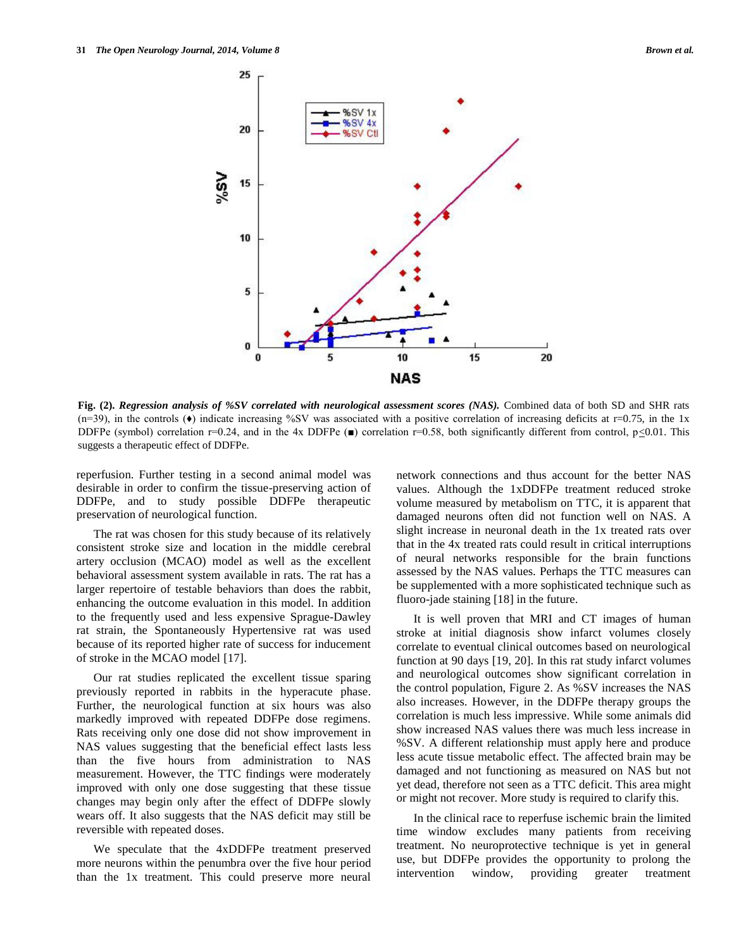

**Fig. (2).** *Regression analysis of %SV correlated with neurological assessment scores (NAS).* Combined data of both SD and SHR rats  $(n=39)$ , in the controls  $(\bullet)$  indicate increasing %SV was associated with a positive correlation of increasing deficits at r=0.75, in the 1x DDFPe (symbol) correlation r=0.24, and in the 4x DDFPe  $(\blacksquare)$  correlation r=0.58, both significantly different from control, p $\leq 0.01$ . This suggests a therapeutic effect of DDFPe.

reperfusion. Further testing in a second animal model was desirable in order to confirm the tissue-preserving action of DDFPe, and to study possible DDFPe therapeutic preservation of neurological function.

 The rat was chosen for this study because of its relatively consistent stroke size and location in the middle cerebral artery occlusion (MCAO) model as well as the excellent behavioral assessment system available in rats. The rat has a larger repertoire of testable behaviors than does the rabbit, enhancing the outcome evaluation in this model. In addition to the frequently used and less expensive Sprague-Dawley rat strain, the Spontaneously Hypertensive rat was used because of its reported higher rate of success for inducement of stroke in the MCAO model [17].

 Our rat studies replicated the excellent tissue sparing previously reported in rabbits in the hyperacute phase. Further, the neurological function at six hours was also markedly improved with repeated DDFPe dose regimens. Rats receiving only one dose did not show improvement in NAS values suggesting that the beneficial effect lasts less than the five hours from administration to NAS measurement. However, the TTC findings were moderately improved with only one dose suggesting that these tissue changes may begin only after the effect of DDFPe slowly wears off. It also suggests that the NAS deficit may still be reversible with repeated doses.

We speculate that the 4xDDFPe treatment preserved more neurons within the penumbra over the five hour period than the 1x treatment. This could preserve more neural

network connections and thus account for the better NAS values. Although the 1xDDFPe treatment reduced stroke volume measured by metabolism on TTC, it is apparent that damaged neurons often did not function well on NAS. A slight increase in neuronal death in the 1x treated rats over that in the 4x treated rats could result in critical interruptions of neural networks responsible for the brain functions assessed by the NAS values. Perhaps the TTC measures can be supplemented with a more sophisticated technique such as fluoro-jade staining [18] in the future.

 It is well proven that MRI and CT images of human stroke at initial diagnosis show infarct volumes closely correlate to eventual clinical outcomes based on neurological function at 90 days [19, 20]. In this rat study infarct volumes and neurological outcomes show significant correlation in the control population, Figure 2. As %SV increases the NAS also increases. However, in the DDFPe therapy groups the correlation is much less impressive. While some animals did show increased NAS values there was much less increase in %SV. A different relationship must apply here and produce less acute tissue metabolic effect. The affected brain may be damaged and not functioning as measured on NAS but not yet dead, therefore not seen as a TTC deficit. This area might or might not recover. More study is required to clarify this.

 In the clinical race to reperfuse ischemic brain the limited time window excludes many patients from receiving treatment. No neuroprotective technique is yet in general use, but DDFPe provides the opportunity to prolong the intervention window, providing greater treatment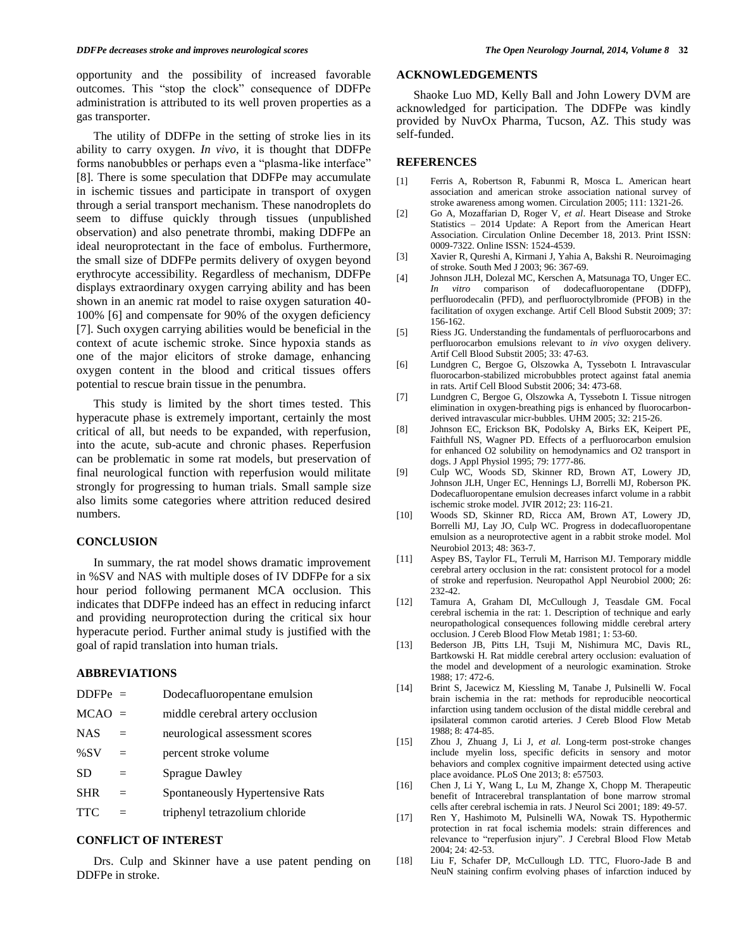opportunity and the possibility of increased favorable outcomes. This "stop the clock" consequence of DDFPe administration is attributed to its well proven properties as a gas transporter.

 The utility of DDFPe in the setting of stroke lies in its ability to carry oxygen. *In vivo*, it is thought that DDFPe forms nanobubbles or perhaps even a "plasma-like interface" [8]. There is some speculation that DDFPe may accumulate in ischemic tissues and participate in transport of oxygen through a serial transport mechanism. These nanodroplets do seem to diffuse quickly through tissues (unpublished observation) and also penetrate thrombi, making DDFPe an ideal neuroprotectant in the face of embolus. Furthermore, the small size of DDFPe permits delivery of oxygen beyond erythrocyte accessibility. Regardless of mechanism, DDFPe displays extraordinary oxygen carrying ability and has been shown in an anemic rat model to raise oxygen saturation 40- 100% [6] and compensate for 90% of the oxygen deficiency [7]. Such oxygen carrying abilities would be beneficial in the context of acute ischemic stroke. Since hypoxia stands as one of the major elicitors of stroke damage, enhancing oxygen content in the blood and critical tissues offers potential to rescue brain tissue in the penumbra.

 This study is limited by the short times tested. This hyperacute phase is extremely important, certainly the most critical of all, but needs to be expanded, with reperfusion, into the acute, sub-acute and chronic phases. Reperfusion can be problematic in some rat models, but preservation of final neurological function with reperfusion would militate strongly for progressing to human trials. Small sample size also limits some categories where attrition reduced desired numbers.

## **CONCLUSION**

 In summary, the rat model shows dramatic improvement in %SV and NAS with multiple doses of IV DDFPe for a six hour period following permanent MCA occlusion. This indicates that DDFPe indeed has an effect in reducing infarct and providing neuroprotection during the critical six hour hyperacute period. Further animal study is justified with the goal of rapid translation into human trials.

#### **ABBREVIATIONS**

| $DDFPe =$  |     | Dodecafluoropentane emulsion     |
|------------|-----|----------------------------------|
| $MCAO =$   |     | middle cerebral artery occlusion |
| <b>NAS</b> | $=$ | neurological assessment scores   |
| %SV        | $=$ | percent stroke volume            |
| <b>SD</b>  | $=$ | <b>Sprague Dawley</b>            |
| <b>SHR</b> | $=$ | Spontaneously Hypertensive Rats  |
| <b>TTC</b> |     | triphenyl tetrazolium chloride   |
|            |     |                                  |

# **CONFLICT OF INTEREST**

 Drs. Culp and Skinner have a use patent pending on DDFPe in stroke.

## **ACKNOWLEDGEMENTS**

 Shaoke Luo MD, Kelly Ball and John Lowery DVM are acknowledged for participation. The DDFPe was kindly provided by NuvOx Pharma, Tucson, AZ. This study was self-funded.

#### **REFERENCES**

- [1] Ferris A, Robertson R, Fabunmi R, Mosca L. American heart association and american stroke association national survey of stroke awareness among women. Circulation 2005; 111: 1321-26.
- [2] Go A, Mozaffarian D, Roger V, *et al*. Heart Disease and Stroke Statistics – 2014 Update: A Report from the American Heart Association. Circulation Online December 18, 2013. Print ISSN: 0009-7322. Online ISSN: 1524-4539.
- [3] Xavier R, Qureshi A, Kirmani J, Yahia A, Bakshi R. Neuroimaging of stroke. South Med J 2003; 96: 367-69.
- [4] Johnson JLH, Dolezal MC, Kerschen A, Matsunaga TO, Unger EC. *In vitro* comparison of dodecafluoropentane (DDFP), perfluorodecalin (PFD), and perfluoroctylbromide (PFOB) in the facilitation of oxygen exchange. Artif Cell Blood Substit 2009; 37: 156-162.
- [5] Riess JG. Understanding the fundamentals of perfluorocarbons and perfluorocarbon emulsions relevant to *in vivo* oxygen delivery. Artif Cell Blood Substit 2005; 33: 47-63.
- [6] Lundgren C, Bergoe G, Olszowka A, Tyssebotn I. Intravascular fluorocarbon-stabilized microbubbles protect against fatal anemia in rats. Artif Cell Blood Substit 2006; 34: 473-68.
- [7] Lundgren C, Bergoe G, Olszowka A, Tyssebotn I. Tissue nitrogen elimination in oxygen-breathing pigs is enhanced by fluorocarbonderived intravascular micr-bubbles. UHM 2005; 32: 215-26.
- [8] Johnson EC, Erickson BK, Podolsky A, Birks EK, Keipert PE, Faithfull NS, Wagner PD. Effects of a perfluorocarbon emulsion for enhanced O2 solubility on hemodynamics and O2 transport in dogs. J Appl Physiol 1995; 79: 1777-86.
- [9] Culp WC, Woods SD, Skinner RD, Brown AT, Lowery JD, Johnson JLH, Unger EC, Hennings LJ, Borrelli MJ, Roberson PK. Dodecafluoropentane emulsion decreases infarct volume in a rabbit ischemic stroke model. JVIR 2012; 23: 116-21.
- [10] Woods SD, Skinner RD, Ricca AM, Brown AT, Lowery JD, Borrelli MJ, Lay JO, Culp WC. Progress in dodecafluoropentane emulsion as a neuroprotective agent in a rabbit stroke model. Mol Neurobiol 2013; 48: 363-7.
- [11] Aspey BS, Taylor FL, Terruli M, Harrison MJ. Temporary middle cerebral artery occlusion in the rat: consistent protocol for a model of stroke and reperfusion. Neuropathol Appl Neurobiol 2000; 26: 232-42.
- [12] Tamura A, Graham DI, McCullough J, Teasdale GM. Focal cerebral ischemia in the rat: 1. Description of technique and early neuropathological consequences following middle cerebral artery occlusion. J Cereb Blood Flow Metab 1981; 1: 53-60.
- [13] Bederson JB, Pitts LH, Tsuji M, Nishimura MC, Davis RL, Bartkowski H. Rat middle cerebral artery occlusion: evaluation of the model and development of a neurologic examination. Stroke 1988; 17: 472-6.
- [14] Brint S, Jacewicz M, Kiessling M, Tanabe J, Pulsinelli W. Focal brain ischemia in the rat: methods for reproducible neocortical infarction using tandem occlusion of the distal middle cerebral and ipsilateral common carotid arteries. J Cereb Blood Flow Metab 1988; 8: 474-85.
- [15] Zhou J, Zhuang J, Li J, *et al*. Long-term post-stroke changes include myelin loss, specific deficits in sensory and motor behaviors and complex cognitive impairment detected using active place avoidance. PLoS One 2013; 8: e57503.
- [16] Chen J, Li Y, Wang L, Lu M, Zhange X, Chopp M. Therapeutic benefit of Intracerebral transplantation of bone marrow stromal cells after cerebral ischemia in rats. J Neurol Sci 2001; 189: 49-57.
- [17] Ren Y, Hashimoto M, Pulsinelli WA, Nowak TS. Hypothermic protection in rat focal ischemia models: strain differences and relevance to "reperfusion injury". J Cerebral Blood Flow Metab 2004; 24: 42-53.
- [18] Liu F, Schafer DP, McCullough LD. TTC, Fluoro-Jade B and NeuN staining confirm evolving phases of infarction induced by